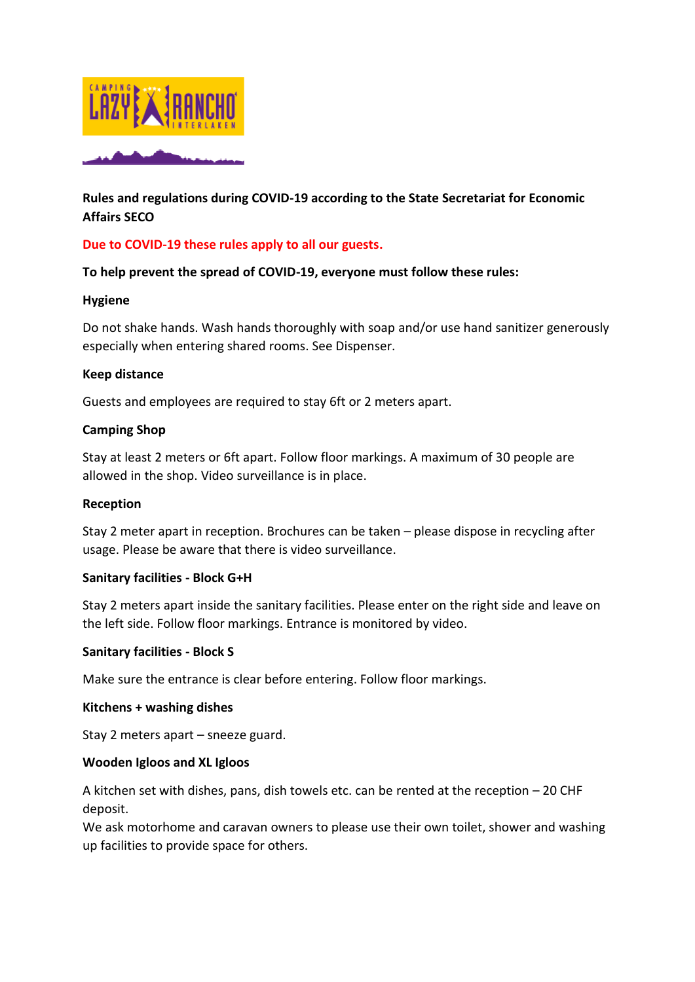

# **Rules and regulations during COVID-19 according to the State Secretariat for Economic Affairs SECO**

# **Due to COVID-19 these rules apply to all our guests.**

### **To help prevent the spread of COVID-19, everyone must follow these rules:**

### **Hygiene**

Do not shake hands. Wash hands thoroughly with soap and/or use hand sanitizer generously especially when entering shared rooms. See Dispenser.

#### **Keep distance**

Guests and employees are required to stay 6ft or 2 meters apart.

### **Camping Shop**

Stay at least 2 meters or 6ft apart. Follow floor markings. A maximum of 30 people are allowed in the shop. Video surveillance is in place.

#### **Reception**

Stay 2 meter apart in reception. Brochures can be taken – please dispose in recycling after usage. Please be aware that there is video surveillance.

#### **Sanitary facilities - Block G+H**

Stay 2 meters apart inside the sanitary facilities. Please enter on the right side and leave on the left side. Follow floor markings. Entrance is monitored by video.

## **Sanitary facilities - Block S**

Make sure the entrance is clear before entering. Follow floor markings.

#### **Kitchens + washing dishes**

Stay 2 meters apart – sneeze guard.

#### **Wooden Igloos and XL Igloos**

A kitchen set with dishes, pans, dish towels etc. can be rented at the reception – 20 CHF deposit.

We ask motorhome and caravan owners to please use their own toilet, shower and washing up facilities to provide space for others.